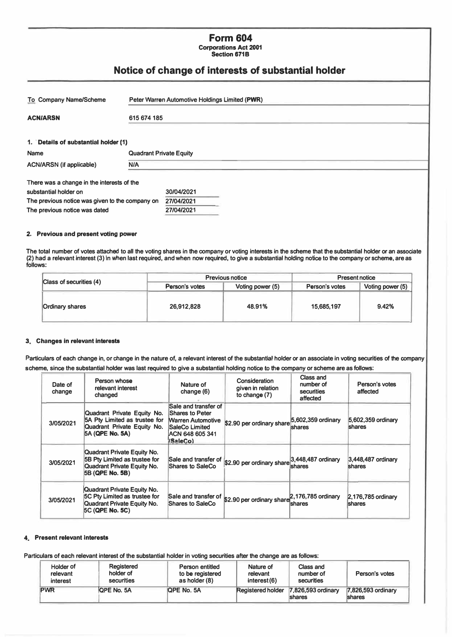# **Form 604 Corporations Act 2001**

**Section 671B** 

# **Notice of change of interests of substantial holder**

| <b>To Company Name/Scheme</b>                   | Peter Warren Automotive Holdings Limited (PWR) |            |  |  |  |
|-------------------------------------------------|------------------------------------------------|------------|--|--|--|
| <b>ACN/ARSN</b><br>615 674 185                  |                                                |            |  |  |  |
| 1. Details of substantial holder (1)            |                                                |            |  |  |  |
| <b>Name</b>                                     | <b>Quadrant Private Equity</b>                 |            |  |  |  |
| <b>ACN/ARSN</b> (if applicable)                 | <b>N/A</b>                                     |            |  |  |  |
| There was a change in the interests of the      |                                                |            |  |  |  |
| substantial holder on                           |                                                | 30/04/2021 |  |  |  |
| The previous notice was given to the company on |                                                | 27/04/2021 |  |  |  |
| The previous notice was dated                   |                                                | 27/04/2021 |  |  |  |

### **2. Previous and present voting power**

**The total number of votes attached to all the voling shares in the company or voting interests in the scheme that the substantial holder or an associate (2) had a relevant interest (3) in when last required, and when now required, to give a substantial holding notice to the company or scheme, are as follows:**

|                           |                | <b>Previous notice</b> | <b>Present notice</b> |                    |
|---------------------------|----------------|------------------------|-----------------------|--------------------|
| Class of securities $(4)$ | Person's votes | Voting power (5)       | Person's votes        | Voting power $(5)$ |
| <b>Ordinary shares</b>    | 26,912,828     | 48.91%                 | 15,685,197            | 9.42%              |

#### **3 Changes in relevant interests**

Particulars of each change in, or change in the nature of, a relevant interest of the substantial holder or an associate in voting securities of the company **s cheme, since the substantial holder was last required to give a substantial holding notice to the company or scheme are as follows:** 

| Date of<br>change | Person whose<br>relevant interest<br>changed                                                                   | Nature of<br>change (6)                                                                                              | Consideration<br>given in relation<br>to change $(7)$                                     | Class and<br>number of<br>securities<br>affected | Person's votes<br>affected          |
|-------------------|----------------------------------------------------------------------------------------------------------------|----------------------------------------------------------------------------------------------------------------------|-------------------------------------------------------------------------------------------|--------------------------------------------------|-------------------------------------|
| 3/05/2021         | Quadrant Private Equity No.<br>5A Pty Limited as trustee for<br>Quadrant Private Equity No.<br>5A (QPE No. 5A) | Sale and transfer of<br>Shares to Peter<br><b>Warren Automotive</b><br>SaleCo Limited<br>ACN 648 605 341<br>(SaleCo) | $$2.90$ per ordinary share $5,602,359$ ordinary                                           | shares                                           | 5,602,359 ordinary<br><b>shares</b> |
| 3/05/2021         | Quadrant Private Equity No.<br>5B Pty Limited as trustee for<br>Quadrant Private Equity No.<br>5B (QPE No. 5B) | Shares to SaleCo                                                                                                     | Sale and transfer of $ 3,448,487\rangle$ ordinary                                         | <b>Ishares</b>                                   | 3,448,487 ordinary<br>shares        |
| 3/05/2021         | Quadrant Private Equity No.<br>5C Pty Limited as trustee for<br>Quadrant Private Equity No.<br>5C (QPE No. 5C) | Shares to SaleCo                                                                                                     | Sale and transfer of $\left  \frac{62.90}{2} \right $ per ordinary share shares to SeleCe | shares                                           | 2,176,785 ordinary<br><b>shares</b> |

#### **4 Present relevant Interests**

Particulars of each relevant interest of the substantial holder in voting securities after the change are as follows:

| Holder of  | Registered | Person entitled    | Nature of   | Class and                                              | Person's votes                      |
|------------|------------|--------------------|-------------|--------------------------------------------------------|-------------------------------------|
| relevant   | holder of  | to be registered   | relevant    | number of                                              |                                     |
| interest   | securities | as holder (8)      | interest(6) | securities                                             |                                     |
| <b>PWR</b> | OPE No. 5A | <b>IQPE No. 5A</b> |             | Registered holder 7,826,593 ordinary<br><b>Ishares</b> | 7,826,593 ordinary<br><b>shares</b> |